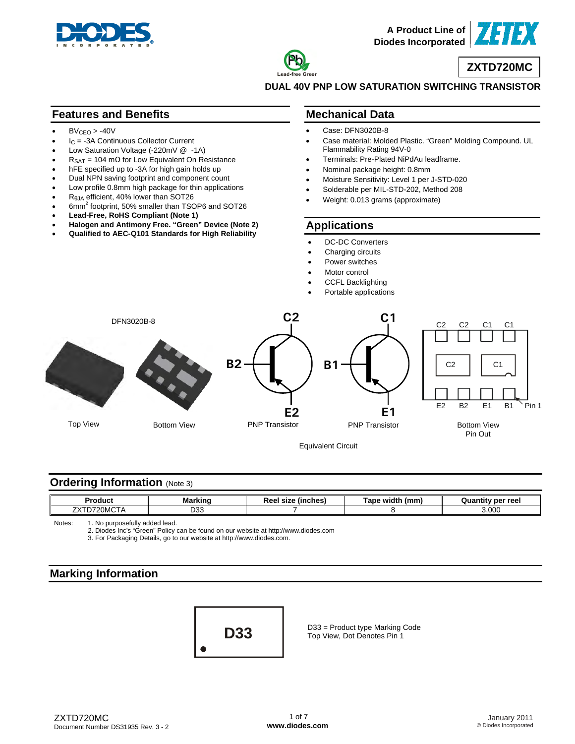



**ZXTD720MC**

**DUAL 40V PNP LOW SATURATION SWITCHING TRANSISTOR** 

#### **Features and Benefits**

- $BV_{CFO} > -40V$
- $I_C = -3A$  Continuous Collector Current
- Low Saturation Voltage (-220mV @ -1A)
- $R_{\text{SAT}} = 104 \text{ m}\Omega$  for Low Equivalent On Resistance
- hFE specified up to -3A for high gain holds up
- Dual NPN saving footprint and component count
- Low profile 0.8mm high package for thin applications
- RθJA efficient, 40% lower than SOT26
- 6mm<sup>2</sup> footprint, 50% smaller than TSOP6 and SOT26
- **Lead-Free, RoHS Compliant (Note 1)**
- **Halogen and Antimony Free. "Green" Device (Note 2)**
- **Qualified to AEC-Q101 Standards for High Reliability**

#### **Mechanical Data**

- Case: DFN3020B-8
- Case material: Molded Plastic. "Green" Molding Compound. UL Flammability Rating 94V-0
- Terminals: Pre-Plated NiPdAu leadframe.
- Nominal package height: 0.8mm
- Moisture Sensitivity: Level 1 per J-STD-020
- Solderable per MIL-STD-202, Method 208
- Weight: 0.013 grams (approximate)

#### **Applications**

- DC-DC Converters
- Charging circuits
- Power switches
- Motor control
- CCFL Backlighting
- Portable applications



### **Ordering Information** (Note 3)

| Product                                             | "Markinr   | (inches)<br>size<br><u>л.</u><br>766 | ≀ widtl<br><b>Tape</b><br>(mm | ′ per reel<br>111.CM |
|-----------------------------------------------------|------------|--------------------------------------|-------------------------------|----------------------|
| $\sim$ $\sim$ $\sim$ $\sim$ $\sim$<br>フソコ<br>20MCTA | nnn<br>ບບບ |                                      |                               | 3.000                |

Notes: 1. No purposefully added lead.

2. Diodes Inc's "Green" Policy can be found on our website at <http://www.diodes.com>

3. For Packaging Details, go to our website at [http://www.diodes.com.](http://www.diodes.com)

## **Marking Information**



D33 = Product type Marking Code Top View, Dot Denotes Pin 1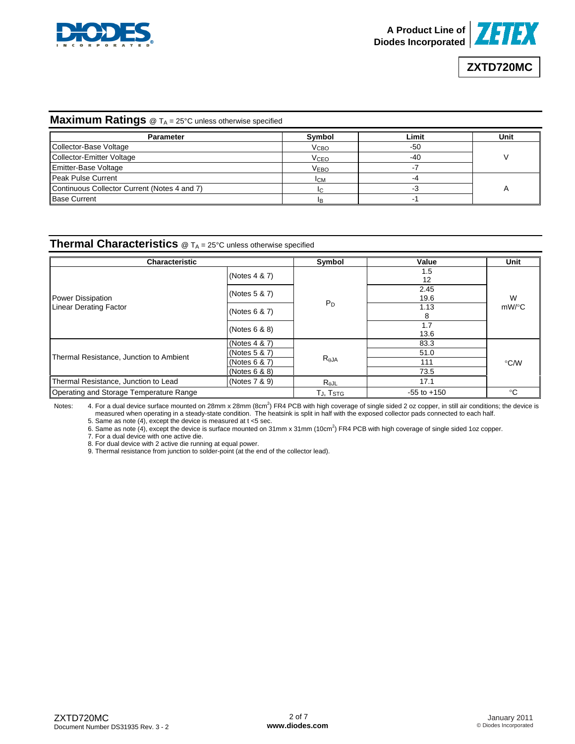



# **ZXTD720MC**

#### **Maximum Ratings** @ T<sub>A</sub> = 25°C unless otherwise specified

| <b>Parameter</b>                             | Symbol                 | Limit | Unit |
|----------------------------------------------|------------------------|-------|------|
| Collector-Base Voltage                       | V <sub>CBO</sub>       | -50   |      |
| Collector-Emitter Voltage                    | <b>V<sub>CEO</sub></b> | -40   |      |
| <b>Emitter-Base Voltage</b>                  | <b>VEBO</b>            |       |      |
| Peak Pulse Current                           | <b>ICM</b>             |       |      |
| Continuous Collector Current (Notes 4 and 7) | IC.                    |       |      |
| <b>Base Current</b>                          |                        |       |      |

#### **Thermal Characteristics** @ T<sub>A</sub> = 25°C unless otherwise specified

| <b>Characteristic</b>                   | Symbol                            | Value           | Unit                     |          |  |
|-----------------------------------------|-----------------------------------|-----------------|--------------------------|----------|--|
|                                         | (Notes 4 & 7)                     |                 | 1.5<br>$12 \overline{ }$ |          |  |
| Power Dissipation                       | (Notes 5 & 7)                     |                 | 2.45<br>19.6             | W        |  |
| <b>Linear Derating Factor</b>           | (Notes 6 & 7)                     | $P_D$           | 1.13<br>8                | $mW$ /°C |  |
|                                         | (Notes 6 & 8)                     |                 | 1.7<br>13.6              |          |  |
|                                         | (Notes 4 & 7)                     |                 | 83.3                     |          |  |
|                                         | (Notes 5 & 7)                     |                 | 51.0                     |          |  |
| Thermal Resistance, Junction to Ambient | (Notes $6$ & $7$ )                | $R_{\theta$ JA  | 111                      | °C/W     |  |
|                                         | (Notes $6 & 8$ )                  |                 | 73.5                     |          |  |
| Thermal Resistance, Junction to Lead    | (Notes 7 & 9)                     | $R_{\theta}$ JL | 17.1                     |          |  |
| Operating and Storage Temperature Range | T <sub>J</sub> , T <sub>STG</sub> | $-55$ to $+150$ | °C                       |          |  |

Notes: 4. For a dual device surface mounted on 28mm x 28mm (8cm<sup>2</sup>) FR4 PCB with high coverage of single sided 2 oz copper, in still air conditions; the device is measured when operating in a steady-state condition. The heatsink is split in half with the exposed collector pads connected to each half.

5. Same as note (4), except the device is measured at t <5 sec.

6. Same as note (4), except the device is surface mounted on 31mm x 31mm (10cm<sup>2</sup>) FR4 PCB with high coverage of single sided 1oz copper.

7. For a dual device with one active die.

8. For dual device with 2 active die running at equal power.

9. Thermal resistance from junction to solder-point (at the end of the collector lead).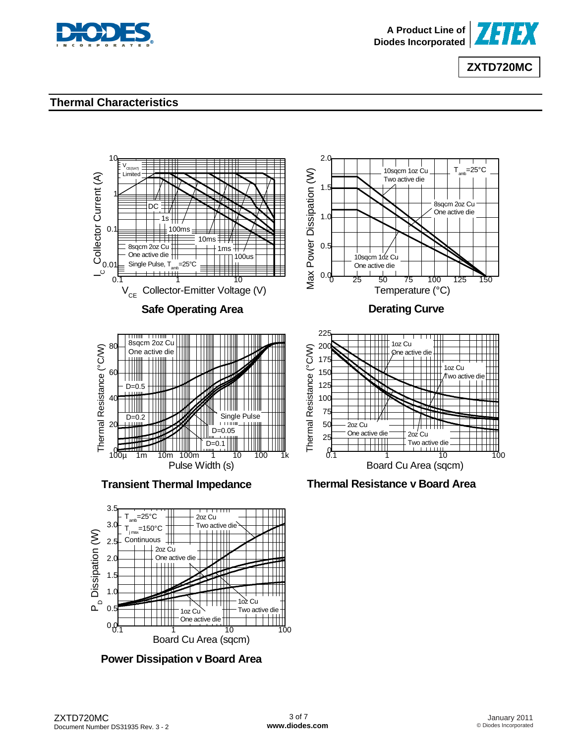



### **Thermal Characteristics**



**Power Dissipation v Board Area**

Board Cu Area (sqcm)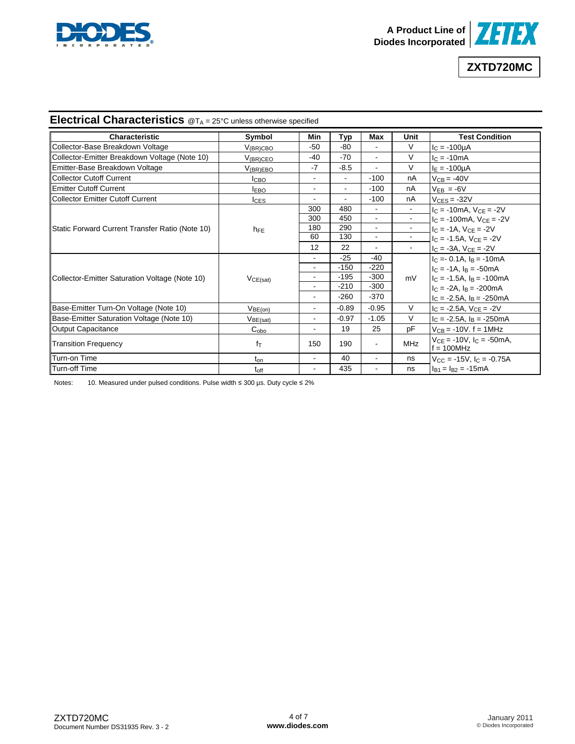



# **Electrical Characteristics** @T<sub>A</sub> = 25°C unless otherwise specified

| <b>Characteristic</b>                           |                      |                |                |                          |            |                                                    |
|-------------------------------------------------|----------------------|----------------|----------------|--------------------------|------------|----------------------------------------------------|
|                                                 | Symbol               | Min            | Typ            | Max                      | Unit       | <b>Test Condition</b>                              |
| Collector-Base Breakdown Voltage                | $V_{\rm (BR)CBC}$    | $-50$          | $-80$          |                          | V          | $I_C = -100 \mu A$                                 |
| Collector-Emitter Breakdown Voltage (Note 10)   | $V_{\rm (BR)CEO}$    | $-40$          | $-70$          |                          | $\vee$     | $I_C = -10mA$                                      |
| Emitter-Base Breakdown Voltage                  | $V_{(BR)EBO}$        | $-7$           | $-8.5$         |                          | V          | $I_F = -100 \mu A$                                 |
| <b>Collector Cutoff Current</b>                 | Iсво                 | $\blacksquare$ | $\blacksquare$ | $-100$                   | nA         | $V_{CB} = -40V$                                    |
| <b>Emitter Cutoff Current</b>                   | <b>IEBO</b>          | $\overline{a}$ | $\sim$         | $-100$                   | nA         | $V_{EB} = -6V$                                     |
| <b>Collector Emitter Cutoff Current</b>         | $I_{CES}$            | ÷              |                | $-100$                   | nA         | $V_{CES} = -32V$                                   |
|                                                 |                      | 300            | 480            |                          |            | $I_C = -10mA$ , $V_{CE} = -2V$                     |
|                                                 |                      | 300            | 450            | $\sim$                   |            | $I_C = -100$ mA, $V_{CF} = -2V$                    |
| Static Forward Current Transfer Ratio (Note 10) | $h_{FE}$             | 180            | 290            | $\sim$                   |            | $IC = -1A, VCE = -2V$                              |
|                                                 |                      | 60             | 130            | $\sim$                   |            | $IC = -1.5A$ , $VCE = -2V$                         |
|                                                 |                      | 12             | 22             |                          |            | $I_C = -3A$ , $V_{CE} = -2V$                       |
|                                                 |                      |                | $-25$          | $-40$                    | mV         | $IC = -0.1A$ , $IB = -10mA$                        |
|                                                 | VCE(sat)             | $\blacksquare$ | $-150$         | $-220$                   |            | $IC = -1A$ , $IB = -50mA$                          |
| Collector-Emitter Saturation Voltage (Note 10)  |                      | $\blacksquare$ | $-195$         | $-300$                   |            | $IC = -1.5A$ , $IB = -100mA$                       |
|                                                 |                      | $\blacksquare$ | $-210$         | $-300$                   |            | $c = -2A$ , $a = -200mA$                           |
|                                                 |                      | $\blacksquare$ | $-260$         | $-370$                   |            | $I_C = -2.5A$ , $I_B = -250mA$                     |
| Base-Emitter Turn-On Voltage (Note 10)          | V <sub>BE(on)</sub>  | Ĭ.             | $-0.89$        | $-0.95$                  | $\vee$     | $I_C = -2.5A, V_{CE} = -2V$                        |
| Base-Emitter Saturation Voltage (Note 10)       | V <sub>BE(sat)</sub> | $\blacksquare$ | $-0.97$        | $-1.05$                  | V          | $I_C = -2.5A$ , $I_B = -250mA$                     |
| <b>Output Capacitance</b>                       | $C_{\rm obo}$        | $\blacksquare$ | 19             | 25                       | pF         | $V_{CB} = -10V$ . $f = 1MHz$                       |
| <b>Transition Frequency</b>                     | $f_{\text{T}}$       | 150            | 190            | $\overline{\phantom{a}}$ | <b>MHz</b> | $V_{CE} = -10V$ , $I_C = -50mA$ ,<br>$f = 100 MHz$ |
| Turn-on Time                                    | t <sub>on</sub>      | $\blacksquare$ | 40             | $\blacksquare$           | ns         | $V_{CC} = -15V$ , $I_C = -0.75A$                   |
| <b>Turn-off Time</b>                            | $t_{\rm off}$        | $\blacksquare$ | 435            |                          | ns         | $I_{B1} = I_{B2} = -15mA$                          |

Notes: 10. Measured under pulsed conditions. Pulse width ≤ 300 µs. Duty cycle ≤ 2%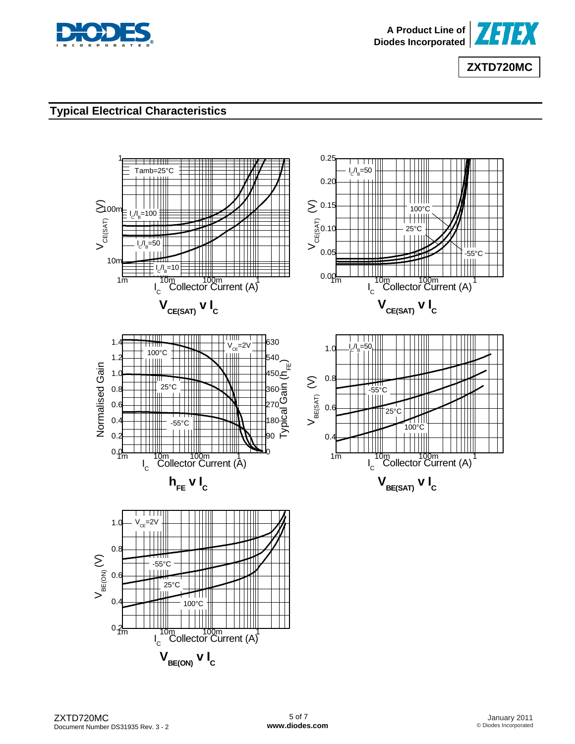



# **Typical Electrical Characteristics**

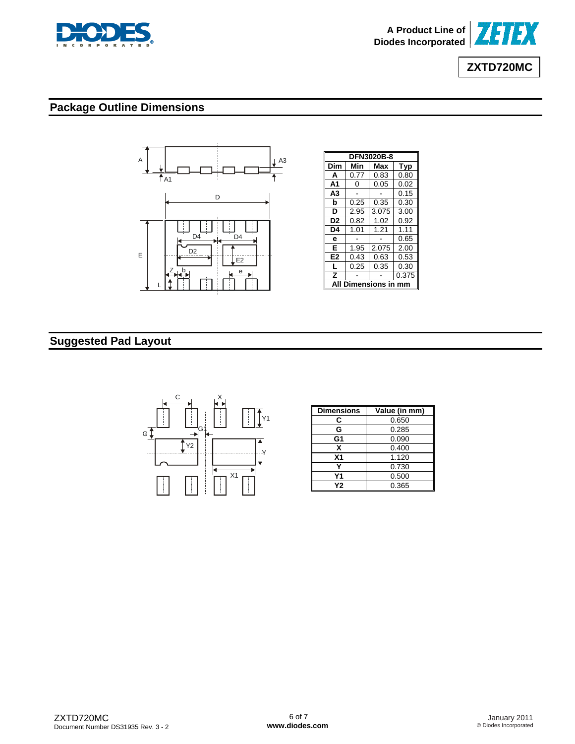



# **Package Outline Dimensions**



| <b>DFN3020B-8</b> |      |       |       |  |  |
|-------------------|------|-------|-------|--|--|
| Dim               | Min  | Max   | Typ   |  |  |
| A                 | 0.77 | 0.83  | 0.80  |  |  |
| A <sub>1</sub>    | ი    | 0.05  | 0.02  |  |  |
| A3                |      |       | 0.15  |  |  |
| b                 | 0.25 | 0.35  | 0.30  |  |  |
| D                 | 2.95 | 3.075 | 3.00  |  |  |
| D2                | 0.82 | 1.02  | 0.92  |  |  |
| D4                | 1.01 | 1.21  | 1.11  |  |  |
| е                 |      |       | 0.65  |  |  |
| Е                 | 1.95 | 2.075 | 2.00  |  |  |
| E <sub>2</sub>    | 0.43 | 0.63  | 0.53  |  |  |
| L                 | 0.25 | 0.35  | 0.30  |  |  |
| z                 |      |       | 0.375 |  |  |
| mensio            |      |       |       |  |  |

# **Suggested Pad Layout**



| <b>Dimensions</b> | Value (in mm) |
|-------------------|---------------|
| C                 | 0.650         |
| G                 | 0.285         |
| G1                | 0.090         |
| x                 | 0.400         |
| X <sub>1</sub>    | 1.120         |
|                   | 0.730         |
| Υ1                | 0.500         |
| <b>Y2</b>         | 0.365         |